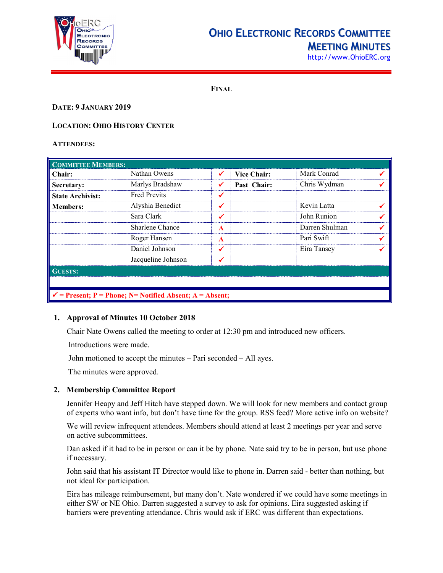

## **OHIO ELECTRONIC RECORDS COMMITTEE MEETING MINUTES**

[http://www.OhioERC.org](http://www.ohioerc.org/)

**FINAL**

## **DATE: 9 JANUARY 2019**

## **LOCATION: OHIO HISTORY CENTER**

#### **ATTENDEES:**

| <b>COMMITTEE MEMBERS:</b>                                           |                     |   |                    |                |  |  |
|---------------------------------------------------------------------|---------------------|---|--------------------|----------------|--|--|
| Chair:                                                              | Nathan Owens        |   | <b>Vice Chair:</b> | Mark Conrad    |  |  |
| Secretary:                                                          | Marlys Bradshaw     |   | Past Chair:        | Chris Wydman   |  |  |
| <b>State Archivist:</b>                                             | <b>Fred Previts</b> |   |                    |                |  |  |
| <b>Members:</b>                                                     | Alyshia Benedict    |   |                    | Kevin Latta    |  |  |
|                                                                     | Sara Clark          |   |                    | John Runion    |  |  |
|                                                                     | Sharlene Chance     | A |                    | Darren Shulman |  |  |
|                                                                     | Roger Hansen        | A |                    | Pari Swift     |  |  |
|                                                                     | Daniel Johnson      |   |                    | Eira Tansey    |  |  |
|                                                                     | Jacqueline Johnson  |   |                    |                |  |  |
| <b>GUESTS:</b>                                                      |                     |   |                    |                |  |  |
|                                                                     |                     |   |                    |                |  |  |
| $\checkmark$ = Present; P = Phone; N = Notified Absent; A = Absent; |                     |   |                    |                |  |  |

#### **1. Approval of Minutes 10 October 2018**

Chair Nate Owens called the meeting to order at 12:30 pm and introduced new officers.

Introductions were made.

John motioned to accept the minutes – Pari seconded – All ayes.

The minutes were approved.

## **2. Membership Committee Report**

Jennifer Heapy and Jeff Hitch have stepped down. We will look for new members and contact group of experts who want info, but don't have time for the group. RSS feed? More active info on website?

We will review infrequent attendees. Members should attend at least 2 meetings per year and serve on active subcommittees.

Dan asked if it had to be in person or can it be by phone. Nate said try to be in person, but use phone if necessary.

John said that his assistant IT Director would like to phone in. Darren said - better than nothing, but not ideal for participation.

Eira has mileage reimbursement, but many don't. Nate wondered if we could have some meetings in either SW or NE Ohio. Darren suggested a survey to ask for opinions. Eira suggested asking if barriers were preventing attendance. Chris would ask if ERC was different than expectations.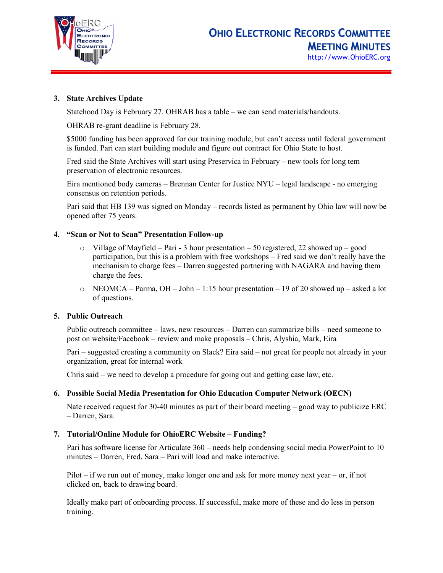

## **3. State Archives Update**

Statehood Day is February 27. OHRAB has a table – we can send materials/handouts.

OHRAB re-grant deadline is February 28.

\$5000 funding has been approved for our training module, but can't access until federal government is funded. Pari can start building module and figure out contract for Ohio State to host.

Fred said the State Archives will start using Preservica in February – new tools for long tem preservation of electronic resources.

Eira mentioned body cameras – Brennan Center for Justice NYU – legal landscape - no emerging consensus on retention periods.

Pari said that HB 139 was signed on Monday – records listed as permanent by Ohio law will now be opened after 75 years.

#### **4. "Scan or Not to Scan" Presentation Follow-up**

- $\circ$  Village of Mayfield Pari 3 hour presentation 50 registered, 22 showed up good participation, but this is a problem with free workshops – Fred said we don't really have the mechanism to charge fees – Darren suggested partnering with NAGARA and having them charge the fees.
- $\circ$  NEOMCA Parma, OH John 1:15 hour presentation 19 of 20 showed up asked a lot of questions.

#### **5. Public Outreach**

Public outreach committee – laws, new resources – Darren can summarize bills – need someone to post on website/Facebook – review and make proposals – Chris, Alyshia, Mark, Eira

Pari – suggested creating a community on Slack? Eira said – not great for people not already in your organization, great for internal work

Chris said – we need to develop a procedure for going out and getting case law, etc.

#### **6. Possible Social Media Presentation for Ohio Education Computer Network (OECN)**

Nate received request for 30-40 minutes as part of their board meeting – good way to publicize ERC – Darren, Sara.

#### **7. Tutorial/Online Module for OhioERC Website – Funding?**

Pari has software license for Articulate 360 – needs help condensing social media PowerPoint to 10 minutes – Darren, Fred, Sara – Pari will load and make interactive.

Pilot – if we run out of money, make longer one and ask for more money next year – or, if not clicked on, back to drawing board.

Ideally make part of onboarding process. If successful, make more of these and do less in person training.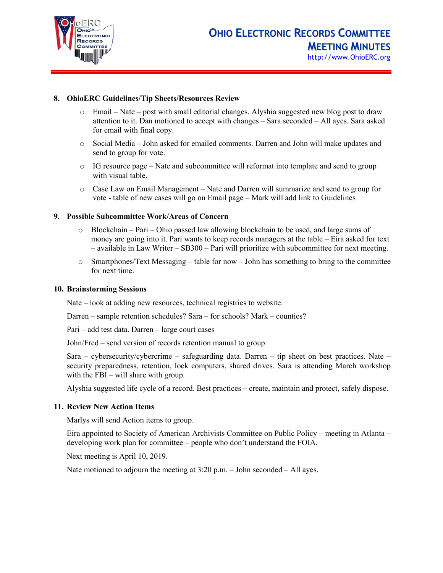

## **8. OhioERC Guidelines/Tip Sheets/Resources Review**

- $\circ$  Email Nate post with small editorial changes. Alyshia suggested new blog post to draw attention to it. Dan motioned to accept with changes – Sara seconded – All ayes. Sara asked for email with final copy.
- o Social Media John asked for emailed comments. Darren and John will make updates and send to group for vote.
- o IG resource page Nate and subcommittee will reformat into template and send to group with visual table.
- o Case Law on Email Management Nate and Darren will summarize and send to group for vote - table of new cases will go on Email page – Mark will add link to Guidelines

#### **9. Possible Subcommittee Work/Areas of Concern**

- $\circ$  Blockchain Pari Ohio passed law allowing blockchain to be used, and large sums of money are going into it. Pari wants to keep records managers at the table – Eira asked for text – available in Law Writer – SB300 – Pari will prioritize with subcommittee for next meeting.
- $\circ$  Smartphones/Text Messaging table for now John has something to bring to the committee for next time.

#### **10. Brainstorming Sessions**

Nate – look at adding new resources, technical registries to website.

Darren – sample retention schedules? Sara – for schools? Mark – counties?

Pari – add test data. Darren – large court cases

John/Fred – send version of records retention manual to group

Sara – cybersecurity/cybercrime – safeguarding data. Darren – tip sheet on best practices. Nate – security preparedness, retention, lock computers, shared drives. Sara is attending March workshop with the FBI – will share with group.

Alyshia suggested life cycle of a record. Best practices – create, maintain and protect, safely dispose.

#### **11. Review New Action Items**

Marlys will send Action items to group.

Eira appointed to Society of American Archivists Committee on Public Policy – meeting in Atlanta – developing work plan for committee – people who don't understand the FOIA.

Next meeting is April 10, 2019.

Nate motioned to adjourn the meeting at 3:20 p.m. – John seconded – All ayes.